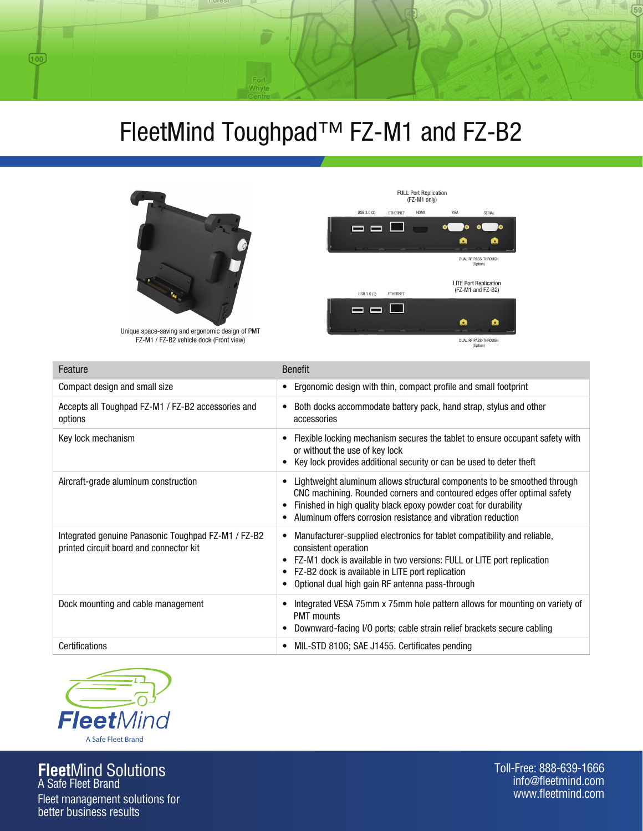## FleetMind Toughpad™ FZ-M1 and FZ-B2



 $(100)$ 



Unique space-saving and ergonomic design of PMT FZ-M1 / FZ-B2 vehicle dock (Front view)

| Feature                                                                                        | <b>Benefit</b>                                                                                                                                                                                                                                                                         |
|------------------------------------------------------------------------------------------------|----------------------------------------------------------------------------------------------------------------------------------------------------------------------------------------------------------------------------------------------------------------------------------------|
| Compact design and small size                                                                  | Ergonomic design with thin, compact profile and small footprint                                                                                                                                                                                                                        |
| Accepts all Toughpad FZ-M1 / FZ-B2 accessories and<br>options                                  | Both docks accommodate battery pack, hand strap, stylus and other<br>٠<br>accessories                                                                                                                                                                                                  |
| Key lock mechanism                                                                             | Flexible locking mechanism secures the tablet to ensure occupant safety with<br>or without the use of key lock<br>Key lock provides additional security or can be used to deter theft                                                                                                  |
| Aircraft-grade aluminum construction                                                           | Lightweight aluminum allows structural components to be smoothed through<br>CNC machining. Rounded corners and contoured edges offer optimal safety<br>Finished in high quality black epoxy powder coat for durability<br>Aluminum offers corrosion resistance and vibration reduction |
| Integrated genuine Panasonic Toughpad FZ-M1 / FZ-B2<br>printed circuit board and connector kit | Manufacturer-supplied electronics for tablet compatibility and reliable,<br>consistent operation<br>FZ-M1 dock is available in two versions: FULL or LITE port replication<br>FZ-B2 dock is available in LITE port replication<br>Optional dual high gain RF antenna pass-through      |
| Dock mounting and cable management                                                             | Integrated VESA 75mm x 75mm hole pattern allows for mounting on variety of<br><b>PMT</b> mounts<br>Downward-facing I/O ports; cable strain relief brackets secure cabling                                                                                                              |
| Certifications                                                                                 | MIL-STD 810G; SAE J1455. Certificates pending                                                                                                                                                                                                                                          |



**Fleet**Mind Solutions A Safe Fleet Brand

Fleet management solutions for better business results

Toll-Free: 888-639-1666 info@fleetmind.com www.fleetmind.com

 $\overline{59}$ 

59